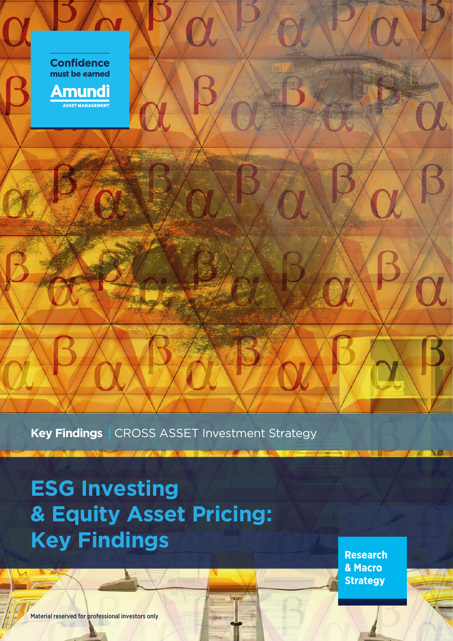

**Key Findings** I CROSS ASSET Investment Strategy

**ESG Investing & Equity Asset Pricing: Key Findings**

**Research** & Macro **Strategy** 

Material reserved for professional investors only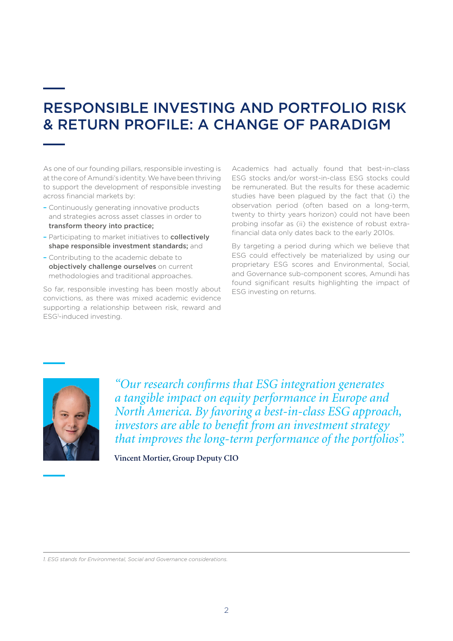### RESPONSIBLE INVESTING AND PORTFOLIO RISK & RETURN PROFILE: A CHANGE OF PARADIGM

As one of our founding pillars, responsible investing is at the core of Amundi's identity. We have been thriving to support the development of responsible investing across financial markets by:

- Continuously generating innovative products and strategies across asset classes in order to transform theory into practice;
- Participating to market initiatives to collectively shape responsible investment standards; and
- Contributing to the academic debate to objectively challenge ourselves on current methodologies and traditional approaches.

So far, responsible investing has been mostly about convictions, as there was mixed academic evidence supporting a relationship between risk, reward and ESG1 -induced investing.

Academics had actually found that best-in-class ESG stocks and/or worst-in-class ESG stocks could be remunerated. But the results for these academic studies have been plagued by the fact that (i) the observation period (often based on a long-term, twenty to thirty years horizon) could not have been probing insofar as (ii) the existence of robust extrafinancial data only dates back to the early 2010s.

By targeting a period during which we believe that ESG could effectively be materialized by using our proprietary ESG scores and Environmental, Social, and Governance sub-component scores, Amundi has found significant results highlighting the impact of ESG investing on returns.



*"Our research confirms that ESG integration generates a tangible impact on equity performance in Europe and North America. By favoring a best-in-class ESG approach, investors are able to benefit from an investment strategy that improves the long-term performance of the portfolios".*

**Vincent Mortier, Group Deputy CIO**

*1. ESG stands for Environmental, Social and Governance considerations.*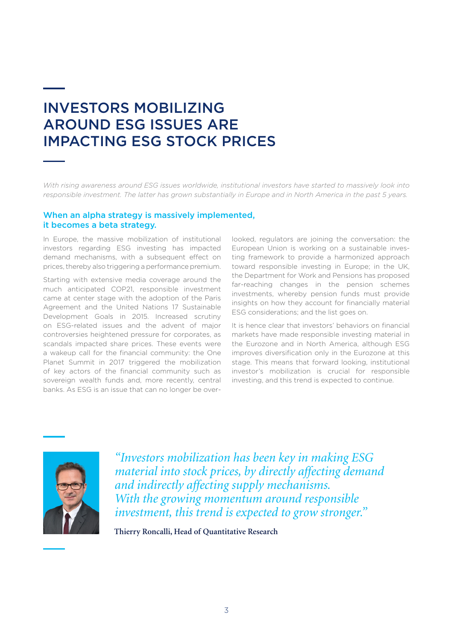### INVESTORS MOBILIZING AROUND ESG ISSUES ARE IMPACTING ESG STOCK PRICES

*With rising awareness around ESG issues worldwide, institutional investors have started to massively look into responsible investment. The latter has grown substantially in Europe and in North America in the past 5 years.*

#### When an alpha strategy is massively implemented, it becomes a beta strategy.

In Europe, the massive mobilization of institutional investors regarding ESG investing has impacted demand mechanisms, with a subsequent effect on prices, thereby also triggering a performance premium.

Starting with extensive media coverage around the much anticipated COP21, responsible investment came at center stage with the adoption of the Paris Agreement and the United Nations 17 Sustainable Development Goals in 2015. Increased scrutiny on ESG-related issues and the advent of major controversies heightened pressure for corporates, as scandals impacted share prices. These events were a wakeup call for the financial community: the One Planet Summit in 2017 triggered the mobilization of key actors of the financial community such as sovereign wealth funds and, more recently, central banks. As ESG is an issue that can no longer be overlooked, regulators are joining the conversation: the European Union is working on a sustainable investing framework to provide a harmonized approach toward responsible investing in Europe; in the UK, the Department for Work and Pensions has proposed far-reaching changes in the pension schemes investments, whereby pension funds must provide insights on how they account for financially material ESG considerations; and the list goes on.

It is hence clear that investors' behaviors on financial markets have made responsible investing material in the Eurozone and in North America, although ESG improves diversification only in the Eurozone at this stage. This means that forward looking, institutional investor's mobilization is crucial for responsible investing, and this trend is expected to continue.



*"Investors mobilization has been key in making ESG material into stock prices, by directly affecting demand and indirectly affecting supply mechanisms. With the growing momentum around responsible investment, this trend is expected to grow stronger."*

**Thierry Roncalli, Head of Quantitative Research**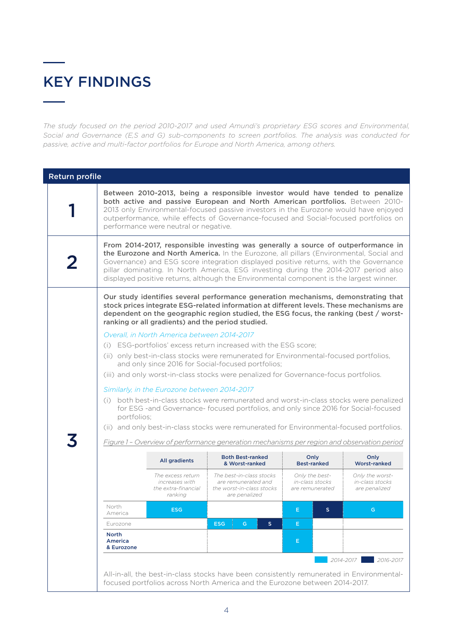## KEY FINDINGS

.

*The study focused on the period 2010-2017 and used Amundi's proprietary ESG scores and Environmental, Social and Governance (E,S and G) sub-components to screen portfolios. The analysis was conducted for passive, active and multi-factor portfolios for Europe and North America, among others.*

| <b>Return profile</b> |                                                                                                                                                                                                                                                                                                                                                                                                                                                         |                                                                       |                                                                                                                                                                                                                                                                                                                              |                                                      |                                                     |  |
|-----------------------|---------------------------------------------------------------------------------------------------------------------------------------------------------------------------------------------------------------------------------------------------------------------------------------------------------------------------------------------------------------------------------------------------------------------------------------------------------|-----------------------------------------------------------------------|------------------------------------------------------------------------------------------------------------------------------------------------------------------------------------------------------------------------------------------------------------------------------------------------------------------------------|------------------------------------------------------|-----------------------------------------------------|--|
|                       | Between 2010-2013, being a responsible investor would have tended to penalize<br>both active and passive European and North American portfolios. Between 2010-<br>2013 only Environmental-focused passive investors in the Eurozone would have enjoyed<br>outperformance, while effects of Governance-focused and Social-focused portfolios on<br>performance were neutral or negative.                                                                 |                                                                       |                                                                                                                                                                                                                                                                                                                              |                                                      |                                                     |  |
|                       | From 2014-2017, responsible investing was generally a source of outperformance in<br>the Eurozone and North America. In the Eurozone, all pillars (Environmental, Social and<br>Governance) and ESG score integration displayed positive returns, with the Governance<br>pillar dominating. In North America, ESG investing during the 2014-2017 period also<br>displayed positive returns, although the Environmental component is the largest winner. |                                                                       |                                                                                                                                                                                                                                                                                                                              |                                                      |                                                     |  |
|                       |                                                                                                                                                                                                                                                                                                                                                                                                                                                         |                                                                       | Our study identifies several performance generation mechanisms, demonstrating that<br>stock prices integrate ESG-related information at different levels. These mechanisms are<br>dependent on the geographic region studied, the ESG focus, the ranking (best / worst-<br>ranking or all gradients) and the period studied. |                                                      |                                                     |  |
|                       | Overall, in North America between 2014-2017<br>(i) ESG-portfolios' excess return increased with the ESG score;<br>(ii) only best-in-class stocks were remunerated for Environmental-focused portfolios,<br>and only since 2016 for Social-focused portfolios;                                                                                                                                                                                           |                                                                       |                                                                                                                                                                                                                                                                                                                              |                                                      |                                                     |  |
|                       |                                                                                                                                                                                                                                                                                                                                                                                                                                                         |                                                                       |                                                                                                                                                                                                                                                                                                                              |                                                      |                                                     |  |
|                       |                                                                                                                                                                                                                                                                                                                                                                                                                                                         |                                                                       |                                                                                                                                                                                                                                                                                                                              |                                                      |                                                     |  |
|                       |                                                                                                                                                                                                                                                                                                                                                                                                                                                         |                                                                       | (iii) and only worst-in-class stocks were penalized for Governance-focus portfolios.                                                                                                                                                                                                                                         |                                                      |                                                     |  |
|                       | Similarly, in the Eurozone between 2014-2017<br>(i) both best-in-class stocks were remunerated and worst-in-class stocks were penalized<br>for ESG -and Governance- focused portfolios, and only since 2016 for Social-focused<br>portfolios;<br>(ii) and only best-in-class stocks were remunerated for Environmental-focused portfolios.                                                                                                              |                                                                       |                                                                                                                                                                                                                                                                                                                              |                                                      |                                                     |  |
|                       | Figure 1 - Overview of performance generation mechanisms per region and observation period                                                                                                                                                                                                                                                                                                                                                              |                                                                       |                                                                                                                                                                                                                                                                                                                              |                                                      |                                                     |  |
|                       |                                                                                                                                                                                                                                                                                                                                                                                                                                                         | All gradients                                                         | <b>Both Best-ranked</b><br>& Worst-ranked                                                                                                                                                                                                                                                                                    | Only<br><b>Best-ranked</b>                           | Only<br><b>Worst-ranked</b>                         |  |
|                       |                                                                                                                                                                                                                                                                                                                                                                                                                                                         | The excess return<br>increases with<br>the extra-financial<br>ranking | The best-in-class stocks<br>are remunerated and<br>the worst-in-class stocks<br>are penalized                                                                                                                                                                                                                                | Only the best-<br>in-class stocks<br>are remunerated | Only the worst-<br>in-class stocks<br>are penalized |  |
|                       | North<br>America                                                                                                                                                                                                                                                                                                                                                                                                                                        | <b>ESG</b>                                                            |                                                                                                                                                                                                                                                                                                                              | E                                                    | G.                                                  |  |
|                       | Eurozone                                                                                                                                                                                                                                                                                                                                                                                                                                                |                                                                       | <b>ESG</b><br>G<br>S.                                                                                                                                                                                                                                                                                                        | Е.                                                   |                                                     |  |
|                       | <b>North</b><br>America<br>& Eurozone                                                                                                                                                                                                                                                                                                                                                                                                                   |                                                                       |                                                                                                                                                                                                                                                                                                                              | E.                                                   |                                                     |  |
|                       |                                                                                                                                                                                                                                                                                                                                                                                                                                                         |                                                                       |                                                                                                                                                                                                                                                                                                                              |                                                      | 2014-2017<br>$2016 - 2017$                          |  |
|                       |                                                                                                                                                                                                                                                                                                                                                                                                                                                         |                                                                       | All-in-all, the best-in-class stocks have been consistently remunerated in Environmental-<br>focused portfolios across North America and the Eurozone between 2014-2017.                                                                                                                                                     |                                                      |                                                     |  |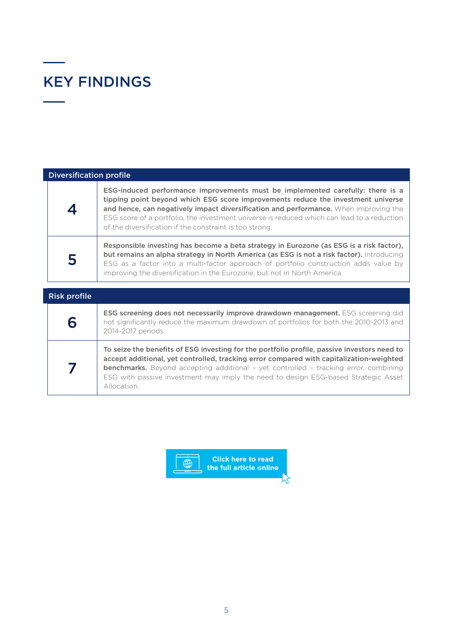# KEY FINDINGS

 $\overline{\phantom{a}}$ 

| <b>Diversification profile</b> |                                                                                                                                                                                                                                                                                                                                                                                                                     |  |  |  |  |
|--------------------------------|---------------------------------------------------------------------------------------------------------------------------------------------------------------------------------------------------------------------------------------------------------------------------------------------------------------------------------------------------------------------------------------------------------------------|--|--|--|--|
|                                | ESG-induced performance improvements must be implemented carefully: there is a<br>tipping point beyond which ESG score improvements reduce the investment universe<br>and hence, can negatively impact diversification and performance. When improving the<br>ESG score of a portfolio, the investment universe is reduced which can lead to a reduction<br>of the diversification if the constraint is too strong. |  |  |  |  |
|                                | Responsible investing has become a beta strategy in Eurozone (as ESG is a risk factor),<br>but remains an alpha strategy in North America (as ESG is not a risk factor). Introducing<br>ESG as a factor into a multi-factor approach of portfolio construction adds value by<br>improving the diversification in the Eurozone, but not in North America.                                                            |  |  |  |  |

| <b>Risk profile</b> |                                                                                                                                                                                                                                                                                                                                                                                           |
|---------------------|-------------------------------------------------------------------------------------------------------------------------------------------------------------------------------------------------------------------------------------------------------------------------------------------------------------------------------------------------------------------------------------------|
|                     | ESG screening does not necessarily improve drawdown management. ESG screening did<br>not significantly reduce the maximum drawdown of portfolios for both the 2010-2013 and<br>2014-2017 periods.                                                                                                                                                                                         |
|                     | To seize the benefits of ESG investing for the portfolio profile, passive investors need to<br>accept additional, yet controlled, tracking error compared with capitalization-weighted<br><b>benchmarks.</b> Beyond accepting additional - yet controlled - tracking error, combining<br>ESG with passive investment may imply the need to design ESG-based Strategic Asset<br>Allocation |